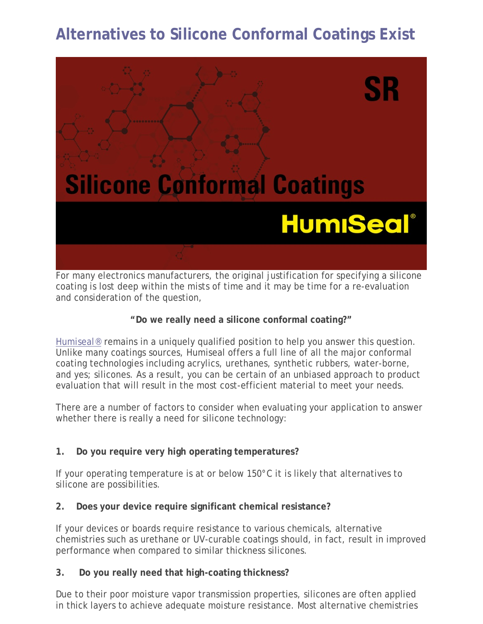# **Alternatives to Silicone Conformal Coatings Exist**



For many electronics manufacturers, the original justification for specifying a silicone coating is lost deep within the mists of time and it may be time for a re-evaluation and consideration of the question,

## **"Do we really need a silicone conformal coating?"**

[Humiseal®](http://www.humiseal.com/) remains in a uniquely qualified position to help you answer this question. Unlike many coatings sources, Humiseal offers a full line of all the major conformal coating technologies including acrylics, urethanes, synthetic rubbers, water-borne, and yes; silicones. As a result, you can be certain of an unbiased approach to product evaluation that will result in the most cost-efficient material to meet your needs.

There are a number of factors to consider when evaluating your application to answer whether there is really a need for silicone technology:

# **1. Do you require very high operating temperatures?**

If your operating temperature is at or below 150°C it is likely that alternatives to silicone are possibilities.

# **2. Does your device require significant chemical resistance?**

If your devices or boards require resistance to various chemicals, alternative chemistries such as urethane or UV-curable coatings should, in fact, result in improved performance when compared to similar thickness silicones.

# **3. Do you really need that high-coating thickness?**

Due to their poor moisture vapor transmission properties, silicones are often applied in thick layers to achieve adequate moisture resistance. Most alternative chemistries